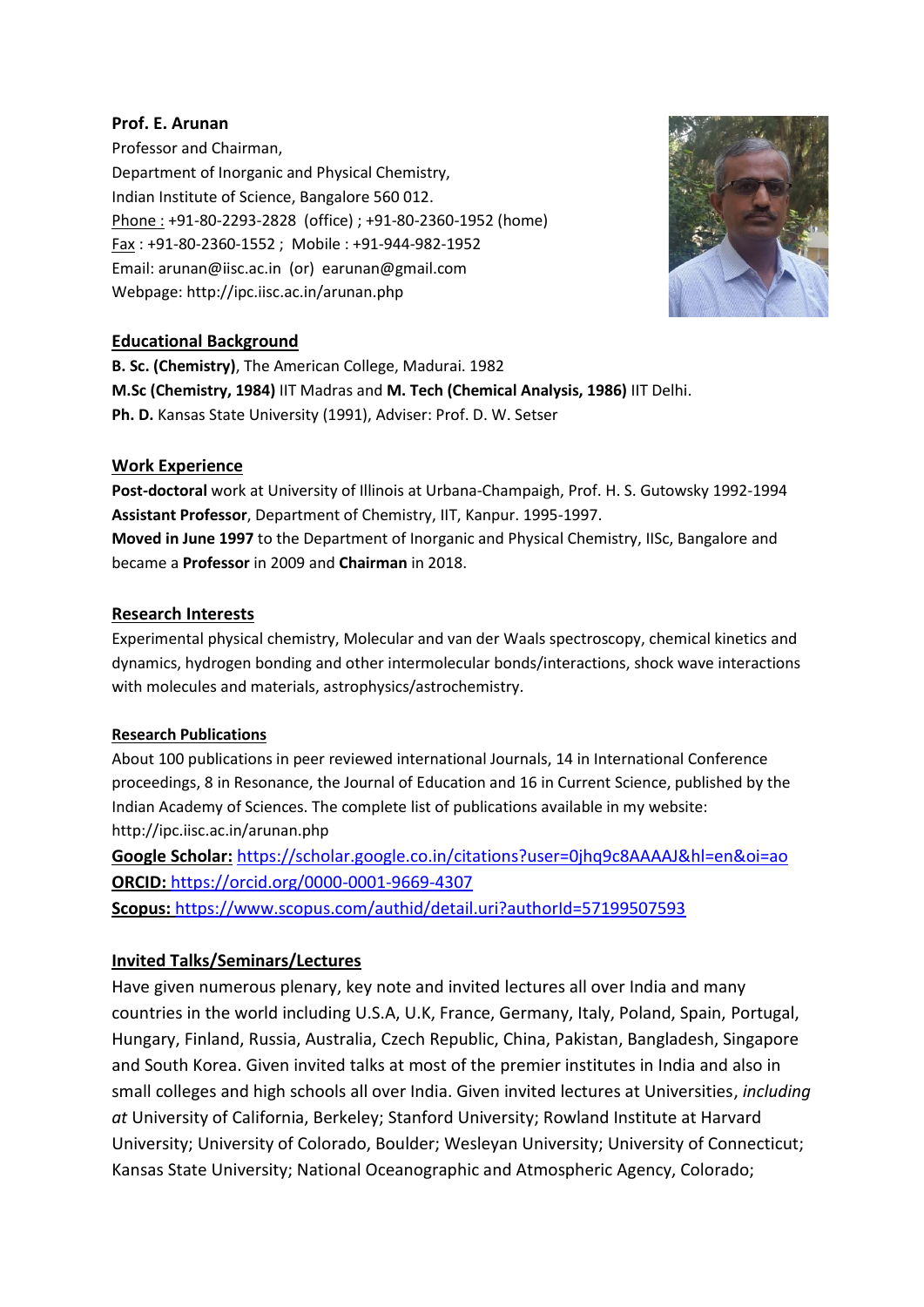## **Prof. E. Arunan**

Professor and Chairman, Department of Inorganic and Physical Chemistry, Indian Institute of Science, Bangalore 560 012. Phone : +91-80-2293-2828 (office) ; +91-80-2360-1952 (home) Fax : +91-80-2360-1552 ; Mobile : +91-944-982-1952 Email: arunan@iisc.ac.in (or) earunan@gmail.com Webpage: http://ipc.iisc.ac.in/arunan.php



# **Educational Background**

**B. Sc. (Chemistry)**, The American College, Madurai. 1982 **M.Sc (Chemistry, 1984)** IIT Madras and **M. Tech (Chemical Analysis, 1986)** IIT Delhi. **Ph. D.** Kansas State University (1991), Adviser: Prof. D. W. Setser

## **Work Experience**

**Post-doctoral** work at University of Illinois at Urbana-Champaigh, Prof. H. S. Gutowsky 1992-1994 **Assistant Professor**, Department of Chemistry, IIT, Kanpur. 1995-1997. **Moved in June 1997** to the Department of Inorganic and Physical Chemistry, IISc, Bangalore and became a **Professor** in 2009 and **Chairman** in 2018.

## **Research Interests**

Experimental physical chemistry, Molecular and van der Waals spectroscopy, chemical kinetics and dynamics, hydrogen bonding and other intermolecular bonds/interactions, shock wave interactions with molecules and materials, astrophysics/astrochemistry.

## **Research Publications**

About 100 publications in peer reviewed international Journals, 14 in International Conference proceedings, 8 in Resonance, the Journal of Education and 16 in Current Science, published by the Indian Academy of Sciences. The complete list of publications available in my website: http://ipc.iisc.ac.in/arunan.php

**Google Scholar:** <https://scholar.google.co.in/citations?user=0jhq9c8AAAAJ&hl=en&oi=ao> **ORCID:** <https://orcid.org/0000-0001-9669-4307> **Scopus:** <https://www.scopus.com/authid/detail.uri?authorId=57199507593>

# **Invited Talks/Seminars/Lectures**

Have given numerous plenary, key note and invited lectures all over India and many countries in the world including U.S.A, U.K, France, Germany, Italy, Poland, Spain, Portugal, Hungary, Finland, Russia, Australia, Czech Republic, China, Pakistan, Bangladesh, Singapore and South Korea. Given invited talks at most of the premier institutes in India and also in small colleges and high schools all over India. Given invited lectures at Universities, *including at* University of California, Berkeley; Stanford University; Rowland Institute at Harvard University; University of Colorado, Boulder; Wesleyan University; University of Connecticut; Kansas State University; National Oceanographic and Atmospheric Agency, Colorado;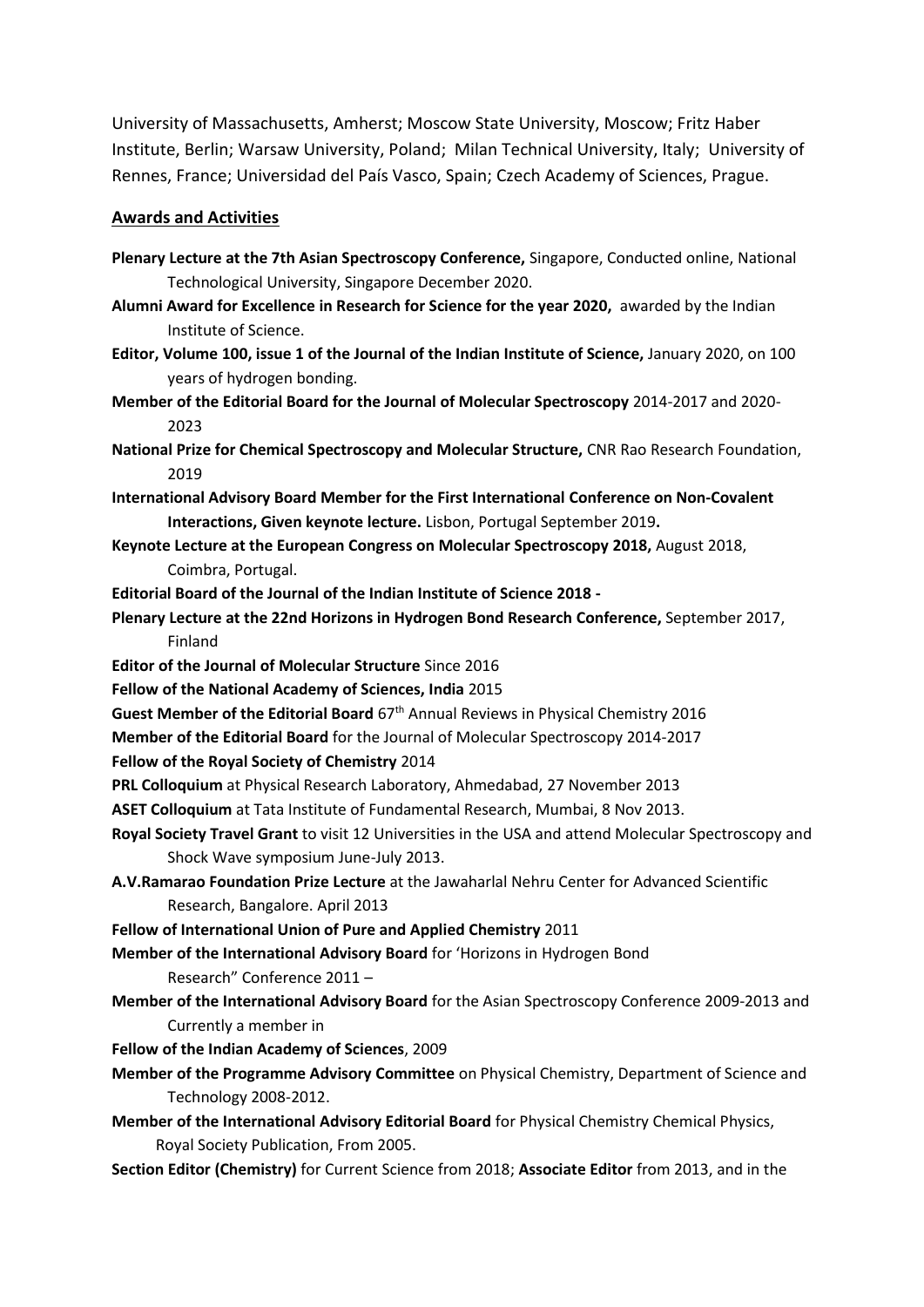University of Massachusetts, Amherst; Moscow State University, Moscow; Fritz Haber Institute, Berlin; Warsaw University, Poland; Milan Technical University, Italy; University of Rennes, France; Universidad del País Vasco, Spain; Czech Academy of Sciences, Prague.

## **Awards and Activities**

- **Plenary Lecture at the 7th Asian Spectroscopy Conference,** Singapore, Conducted online, National Technological University, Singapore December 2020.
- **Alumni Award for Excellence in Research for Science for the year 2020,** awarded by the Indian Institute of Science.
- **Editor, Volume 100, issue 1 of the Journal of the Indian Institute of Science,** January 2020, on 100 years of hydrogen bonding.
- **Member of the Editorial Board for the Journal of Molecular Spectroscopy** 2014-2017 and 2020- 2023
- **National Prize for Chemical Spectroscopy and Molecular Structure,** CNR Rao Research Foundation, 2019
- **International Advisory Board Member for the First International Conference on Non-Covalent Interactions, Given keynote lecture.** Lisbon, Portugal September 2019**.**
- **Keynote Lecture at the European Congress on Molecular Spectroscopy 2018,** August 2018, Coimbra, Portugal.
- **Editorial Board of the Journal of the Indian Institute of Science 2018 -**
- **Plenary Lecture at the 22nd Horizons in Hydrogen Bond Research Conference,** September 2017, Finland
- **Editor of the Journal of Molecular Structure** Since 2016
- **Fellow of the National Academy of Sciences, India** 2015
- **Guest Member of the Editorial Board** 67th Annual Reviews in Physical Chemistry 2016
- **Member of the Editorial Board** for the Journal of Molecular Spectroscopy 2014-2017
- **Fellow of the Royal Society of Chemistry** 2014
- **PRL Colloquium** at Physical Research Laboratory, Ahmedabad, 27 November 2013
- **ASET Colloquium** at Tata Institute of Fundamental Research, Mumbai, 8 Nov 2013.
- **Royal Society Travel Grant** to visit 12 Universities in the USA and attend Molecular Spectroscopy and Shock Wave symposium June-July 2013.
- **A.V.Ramarao Foundation Prize Lecture** at the Jawaharlal Nehru Center for Advanced Scientific Research, Bangalore. April 2013
- **Fellow of International Union of Pure and Applied Chemistry** 2011

**Member of the International Advisory Board** for 'Horizons in Hydrogen Bond

- Research" Conference 2011 –
- **Member of the International Advisory Board** for the Asian Spectroscopy Conference 2009-2013 and Currently a member in
- **Fellow of the Indian Academy of Sciences**, 2009
- **Member of the Programme Advisory Committee** on Physical Chemistry, Department of Science and Technology 2008-2012.
- **Member of the International Advisory Editorial Board** for Physical Chemistry Chemical Physics, Royal Society Publication, From 2005.
- **Section Editor (Chemistry)** for Current Science from 2018; **Associate Editor** from 2013, and in the